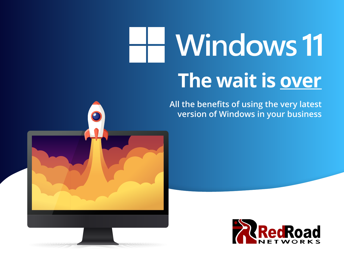# **Windows 11 The wait is over**

**All the benefits of using the very latest version of Windows in your business**



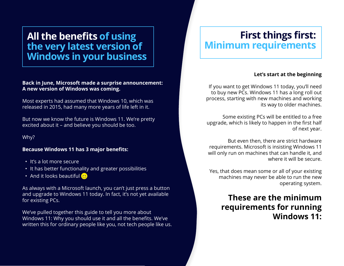### **All the benefits of using the very latest version of Windows in your business**

**Back in June, Microsoft made a surprise announcement: A new version of Windows was coming.**

Most experts had assumed that Windows 10, which was released in 2015, had many more years of life left in it.

But now we know the future is Windows 11. We're pretty excited about it – and believe you should be too.

Why?

#### **Because Windows 11 has 3 major benefits:**

- It's a lot more secure
- It has better functionality and greater possibilities
- And it looks beautiful  $\bullet$

As always with a Microsoft launch, you can't just press a button and upgrade to Windows 11 today. In fact, it's not yet available for existing PCs.

We've pulled together this guide to tell you more about Windows 11: Why you should use it and all the benefits. We've written this for ordinary people like you, not tech people like us.

## **First things first: Minimum requirements**

### **Let's start at the beginning**

If you want to get Windows 11 today, you'll need to buy new PCs. Windows 11 has a long roll out process, starting with new machines and working its way to older machines.

Some existing PCs will be entitled to a free upgrade, which is likely to happen in the first half of next year.

But even then, there are strict hardware requirements. Microsoft is insisting Windows 11 will only run on machines that can handle it, and where it will be secure.

Yes, that does mean some or all of your existing machines may never be able to run the new operating system.

### **These are the minimum requirements for running Windows 11:**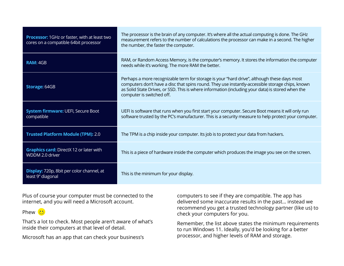| <b>Processor:</b> 1GHz or faster, with at least two<br>cores on a compatible 64bit processor | The processor is the brain of any computer. It's where all the actual computing is done. The GHz<br>measurement refers to the number of calculations the processor can make in a second. The higher<br>the number, the faster the computer.                                                                                       |
|----------------------------------------------------------------------------------------------|-----------------------------------------------------------------------------------------------------------------------------------------------------------------------------------------------------------------------------------------------------------------------------------------------------------------------------------|
| <b>RAM: 4GB</b>                                                                              | RAM, or Random Access Memory, is the computer's memory. It stores the information the computer<br>needs while it's working. The more RAM the better.                                                                                                                                                                              |
| <b>Storage: 64GB</b>                                                                         | Perhaps a more recognizable term for storage is your "hard drive", although these days most<br>computers don't have a disc that spins round. They use instantly-accessible storage chips, known<br>as Solid State Drives, or SSD. This is where information (including your data) is stored when the<br>computer is switched off. |
| <b>System firmware: UEFI, Secure Boot</b><br>compatible                                      | UEFI is software that runs when you first start your computer. Secure Boot means it will only run<br>software trusted by the PC's manufacturer. This is a security measure to help protect your computer.                                                                                                                         |
| <b>Trusted Platform Module (TPM): 2.0</b>                                                    | The TPM is a chip inside your computer. Its job is to protect your data from hackers.                                                                                                                                                                                                                                             |
| <b>Graphics card:</b> DirectX 12 or later with<br>WDDM 2.0 driver                            | This is a piece of hardware inside the computer which produces the image you see on the screen.                                                                                                                                                                                                                                   |
| Display: 720p, 8bit per color channel, at<br>least 9" diagonal                               | This is the minimum for your display.                                                                                                                                                                                                                                                                                             |

Plus of course your computer must be connected to the internet, and you will need a Microsoft account.

Phew<sup>(.</sup>

That's a lot to check. Most people aren't aware of what's inside their computers at that level of detail.

Microsoft has an app that can check your business's

computers to see if they are compatible. The app has delivered some inaccurate results in the past… instead we recommend you get a trusted technology partner (like us) to check your computers for you.

Remember, the list above states the minimum requirements to run Windows 11. Ideally, you'd be looking for a better processor, and higher levels of RAM and storage.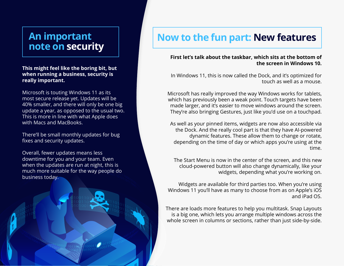# **An important**

**This might feel like the boring bit, but when running a business, security is really important.**

Microsoft is touting Windows 11 as its most secure release yet. Updates will be 40% smaller, and there will only be one big update a year, as opposed to the usual two. This is more in line with what Apple does with Macs and MacBooks.

There'll be small monthly updates for bug fixes and security updates.

Overall, fewer updates means less downtime for you and your team. Even when the updates are run at night, this is much more suitable for the way people do business today.

# An important **Now to the fun part: New features**<br>note on security

### **First let's talk about the taskbar, which sits at the bottom of the screen in Windows 10.**

In Windows 11, this is now called the Dock, and it's optimized for touch as well as a mouse.

Microsoft has really improved the way Windows works for tablets, which has previously been a weak point. Touch targets have been made larger, and it's easier to move windows around the screen. They're also bringing Gestures, just like you'd use on a touchpad.

As well as your pinned items, widgets are now also accessible via the Dock. And the really cool part is that they have AI-powered dynamic features. These allow them to change or rotate, depending on the time of day or which apps you're using at the time.

The Start Menu is now in the center of the screen, and this new cloud-powered button will also change dynamically, like your widgets, depending what you're working on.

Widgets are available for third parties too. When you're using Windows 11 you'll have as many to choose from as on Apple's iOS and iPad OS.

There are loads more features to help you multitask. Snap Layouts is a big one, which lets you arrange multiple windows across the whole screen in columns or sections, rather than just side-by-side.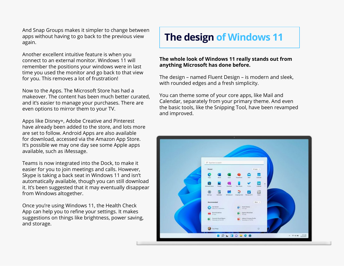And Snap Groups makes it simpler to change between apps without having to go back to the previous view again.

Another excellent intuitive feature is when you connect to an external monitor. Windows 11 will remember the positions your windows were in last time you used the monitor and go back to that view for you. This removes a lot of frustration!

Now to the Apps. The Microsoft Store has had a makeover. The content has been much better curated, and it's easier to manage your purchases. There are even options to mirror them to your TV.

Apps like Disney+, Adobe Creative and Pinterest have already been added to the store, and lots more are set to follow. Android Apps are also available for download, accessed via the Amazon App Store. It's possible we may one day see some Apple apps available, such as iMessage.

Teams is now integrated into the Dock, to make it easier for you to join meetings and calls. However, Skype is taking a back seat in Windows 11 and isn't automatically available, though you can still download it. It's been suggested that it may eventually disappear from Windows altogether.

Once you're using Windows 11, the Health Check App can help you to refine your settings. It makes suggestions on things like brightness, power saving, and storage.

## **The design of Windows 11**

#### **The whole look of Windows 11 really stands out from anything Microsoft has done before.**

The design – named Fluent Design – is modern and sleek, with rounded edges and a fresh simplicity.

You can theme some of your core apps, like Mail and Calendar, separately from your primary theme. And even the basic tools, like the Snipping Tool, have been revamped and improved.